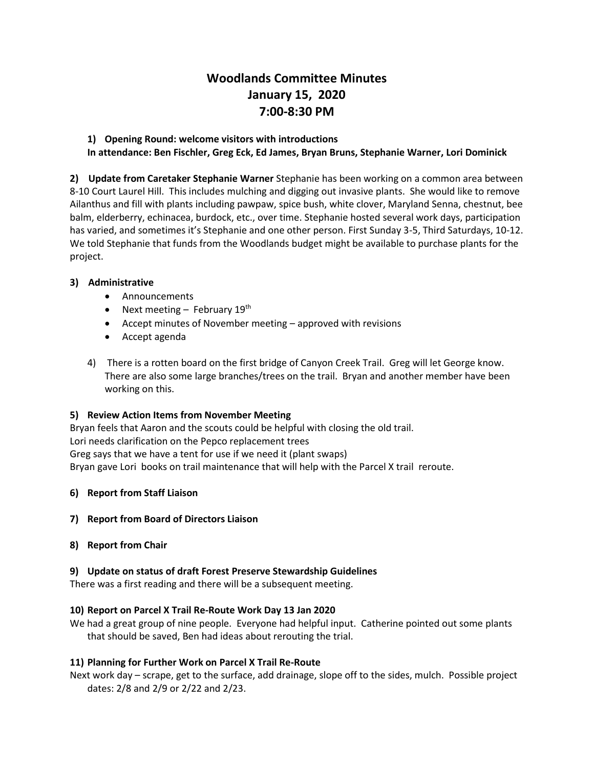# **Woodlands Committee Minutes January 15, 2020 7:00-8:30 PM**

# **1) Opening Round: welcome visitors with introductions In attendance: Ben Fischler, Greg Eck, Ed James, Bryan Bruns, Stephanie Warner, Lori Dominick**

**2) Update from Caretaker Stephanie Warner** Stephanie has been working on a common area between 8-10 Court Laurel Hill. This includes mulching and digging out invasive plants. She would like to remove Ailanthus and fill with plants including pawpaw, spice bush, white clover, Maryland Senna, chestnut, bee balm, elderberry, echinacea, burdock, etc., over time. Stephanie hosted several work days, participation has varied, and sometimes it's Stephanie and one other person. First Sunday 3-5, Third Saturdays, 10-12. We told Stephanie that funds from the Woodlands budget might be available to purchase plants for the project.

## **3) Administrative**

- Announcements
- Next meeting February  $19<sup>th</sup>$
- Accept minutes of November meeting approved with revisions
- Accept agenda
- 4) There is a rotten board on the first bridge of Canyon Creek Trail. Greg will let George know. There are also some large branches/trees on the trail. Bryan and another member have been working on this.

#### **5) Review Action Items from November Meeting**

Bryan feels that Aaron and the scouts could be helpful with closing the old trail. Lori needs clarification on the Pepco replacement trees Greg says that we have a tent for use if we need it (plant swaps) Bryan gave Lori books on trail maintenance that will help with the Parcel X trail reroute.

#### **6) Report from Staff Liaison**

#### **7) Report from Board of Directors Liaison**

#### **8) Report from Chair**

#### **9) Update on status of draft Forest Preserve Stewardship Guidelines**

There was a first reading and there will be a subsequent meeting.

## **10) Report on Parcel X Trail Re-Route Work Day 13 Jan 2020**

We had a great group of nine people. Everyone had helpful input. Catherine pointed out some plants that should be saved, Ben had ideas about rerouting the trial.

## **11) Planning for Further Work on Parcel X Trail Re-Route**

Next work day – scrape, get to the surface, add drainage, slope off to the sides, mulch. Possible project dates: 2/8 and 2/9 or 2/22 and 2/23.